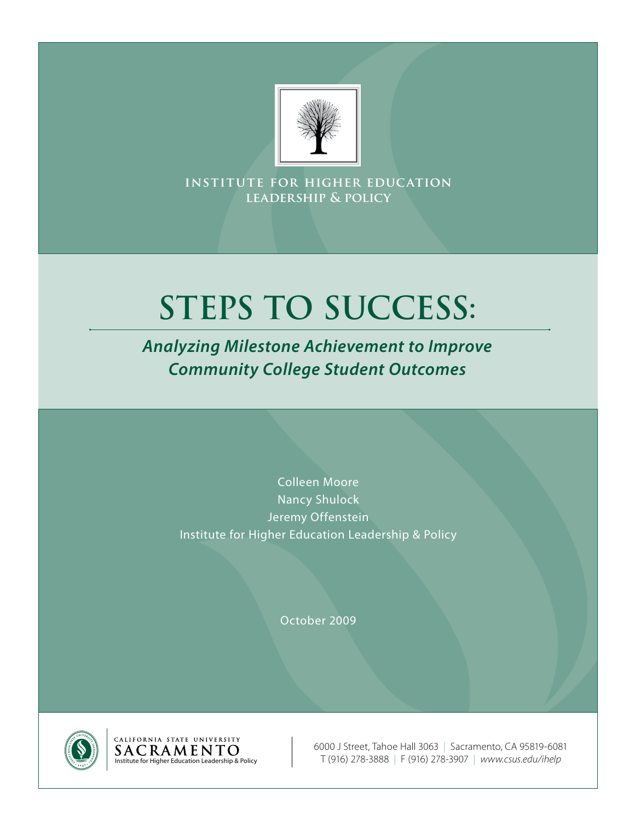

**institute for higher education leadership & policy**

# **STEPS TO SUCCESS:**

*Analyzing Milestone Achievement to Improve Community College Student Outcomes*

> Colleen Moore Nancy Shulock Jeremy Offenstein Institute for Higher Education Leadership & Policy

> > October 2009



6000 J Street, Tahoe Hall 3063 | Sacramento, CA 95819-6081 Institute for Higher Education Leadership & Policy T (916) 278-3888 | F (916) 278-3907 | *www.csus.edu/ihelp*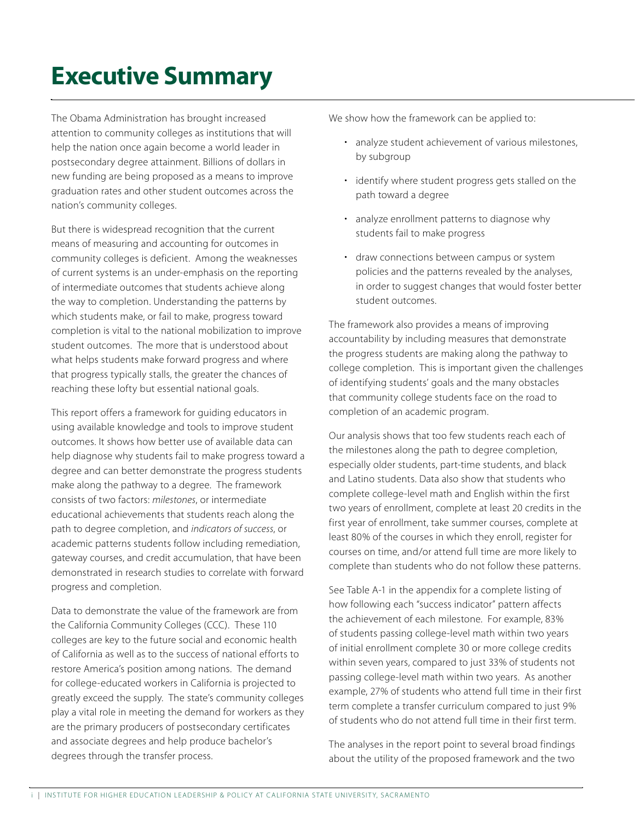## **Executive Summary**

The Obama Administration has brought increased attention to community colleges as institutions that will help the nation once again become a world leader in postsecondary degree attainment. Billions of dollars in new funding are being proposed as a means to improve graduation rates and other student outcomes across the nation's community colleges.

But there is widespread recognition that the current means of measuring and accounting for outcomes in community colleges is deficient. Among the weaknesses of current systems is an under-emphasis on the reporting of intermediate outcomes that students achieve along the way to completion. Understanding the patterns by which students make, or fail to make, progress toward completion is vital to the national mobilization to improve student outcomes. The more that is understood about what helps students make forward progress and where that progress typically stalls, the greater the chances of reaching these lofty but essential national goals.

This report offers a framework for guiding educators in using available knowledge and tools to improve student outcomes. It shows how better use of available data can help diagnose why students fail to make progress toward a degree and can better demonstrate the progress students make along the pathway to a degree. The framework consists of two factors: *milestones*, or intermediate educational achievements that students reach along the path to degree completion, and *indicators of success*, or academic patterns students follow including remediation, gateway courses, and credit accumulation, that have been demonstrated in research studies to correlate with forward progress and completion.

Data to demonstrate the value of the framework are from the California Community Colleges (CCC). These 110 colleges are key to the future social and economic health of California as well as to the success of national efforts to restore America's position among nations. The demand for college-educated workers in California is projected to greatly exceed the supply. The state's community colleges play a vital role in meeting the demand for workers as they are the primary producers of postsecondary certificates and associate degrees and help produce bachelor's degrees through the transfer process.

We show how the framework can be applied to:

- analyze student achievement of various milestones, by subgroup
- identify where student progress gets stalled on the path toward a degree
- • analyze enrollment patterns to diagnose why students fail to make progress
- draw connections between campus or system policies and the patterns revealed by the analyses, in order to suggest changes that would foster better student outcomes.

The framework also provides a means of improving accountability by including measures that demonstrate the progress students are making along the pathway to college completion. This is important given the challenges of identifying students' goals and the many obstacles that community college students face on the road to completion of an academic program.

Our analysis shows that too few students reach each of the milestones along the path to degree completion, especially older students, part-time students, and black and Latino students. Data also show that students who complete college-level math and English within the first two years of enrollment, complete at least 20 credits in the first year of enrollment, take summer courses, complete at least 80% of the courses in which they enroll, register for courses on time, and/or attend full time are more likely to complete than students who do not follow these patterns.

See Table A-1 in the appendix for a complete listing of how following each "success indicator" pattern affects the achievement of each milestone. For example, 83% of students passing college-level math within two years of initial enrollment complete 30 or more college credits within seven years, compared to just 33% of students not passing college-level math within two years. As another example, 27% of students who attend full time in their first term complete a transfer curriculum compared to just 9% of students who do not attend full time in their first term.

The analyses in the report point to several broad findings about the utility of the proposed framework and the two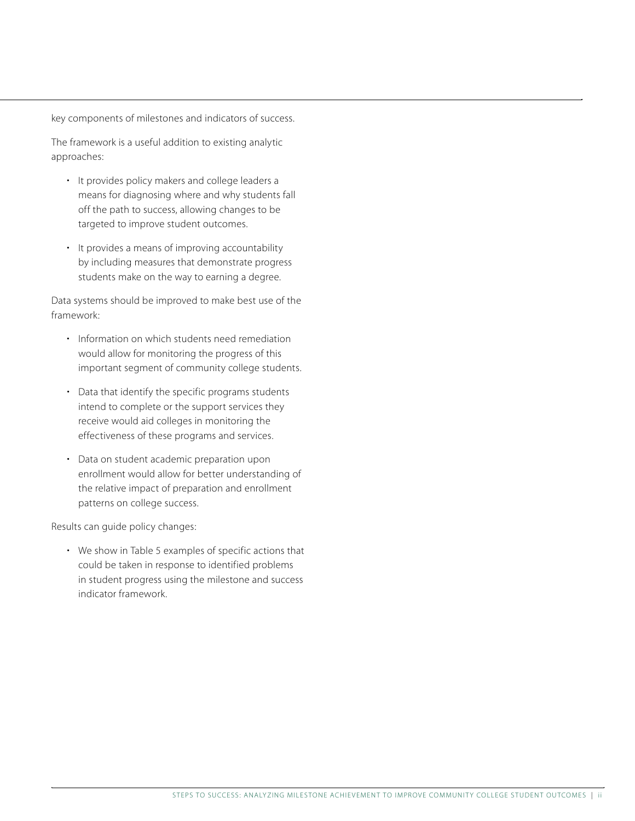key components of milestones and indicators of success.

The framework is a useful addition to existing analytic approaches:

- It provides policy makers and college leaders a means for diagnosing where and why students fall off the path to success, allowing changes to be targeted to improve student outcomes.
- It provides a means of improving accountability by including measures that demonstrate progress students make on the way to earning a degree.

Data systems should be improved to make best use of the framework:

- Information on which students need remediation would allow for monitoring the progress of this important segment of community college students.
- Data that identify the specific programs students intend to complete or the support services they receive would aid colleges in monitoring the effectiveness of these programs and services.
- Data on student academic preparation upon enrollment would allow for better understanding of the relative impact of preparation and enrollment patterns on college success.

Results can guide policy changes:

• We show in Table 5 examples of specific actions that could be taken in response to identified problems in student progress using the milestone and success indicator framework.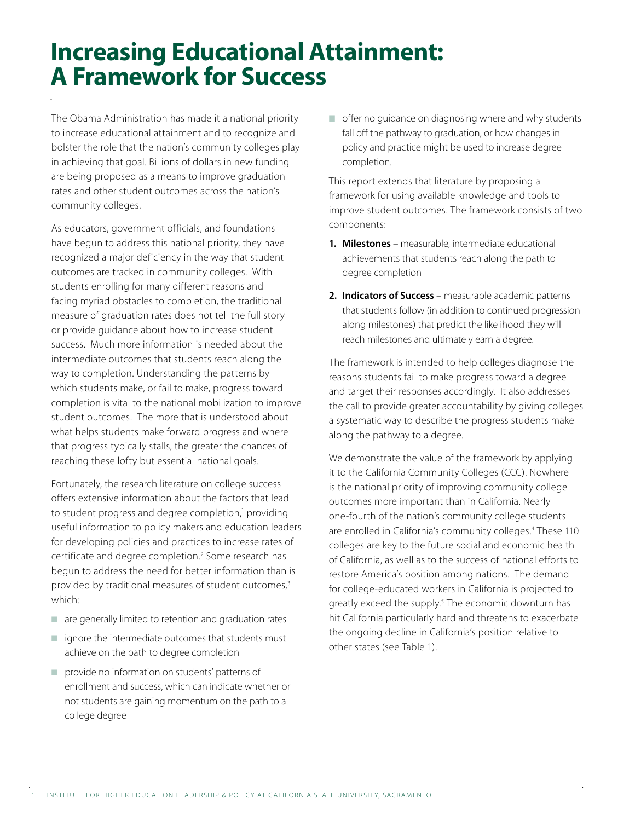### **Increasing Educational Attainment: A Framework for Success**

The Obama Administration has made it a national priority to increase educational attainment and to recognize and bolster the role that the nation's community colleges play in achieving that goal. Billions of dollars in new funding are being proposed as a means to improve graduation rates and other student outcomes across the nation's community colleges.

As educators, government officials, and foundations have begun to address this national priority, they have recognized a major deficiency in the way that student outcomes are tracked in community colleges. With students enrolling for many different reasons and facing myriad obstacles to completion, the traditional measure of graduation rates does not tell the full story or provide guidance about how to increase student success. Much more information is needed about the intermediate outcomes that students reach along the way to completion. Understanding the patterns by which students make, or fail to make, progress toward completion is vital to the national mobilization to improve student outcomes. The more that is understood about what helps students make forward progress and where that progress typically stalls, the greater the chances of reaching these lofty but essential national goals.

Fortunately, the research literature on college success offers extensive information about the factors that lead to student progress and degree completion,<sup>1</sup> providing useful information to policy makers and education leaders for developing policies and practices to increase rates of certificate and degree completion.<sup>2</sup> Some research has begun to address the need for better information than is provided by traditional measures of student outcomes,<sup>3</sup> which:

- $\blacksquare$  are generally limited to retention and graduation rates
- $\blacksquare$  ignore the intermediate outcomes that students must achieve on the path to degree completion
- $\blacksquare$  provide no information on students' patterns of enrollment and success, which can indicate whether or not students are gaining momentum on the path to a college degree

 $\blacksquare$  offer no guidance on diagnosing where and why students fall off the pathway to graduation, or how changes in policy and practice might be used to increase degree completion.

This report extends that literature by proposing a framework for using available knowledge and tools to improve student outcomes. The framework consists of two components:

- **1. Milestones** measurable, intermediate educational achievements that students reach along the path to degree completion
- 2. Indicators of Success measurable academic patterns that students follow (in addition to continued progression along milestones) that predict the likelihood they will reach milestones and ultimately earn a degree.

The framework is intended to help colleges diagnose the reasons students fail to make progress toward a degree and target their responses accordingly. It also addresses the call to provide greater accountability by giving colleges a systematic way to describe the progress students make along the pathway to a degree.

We demonstrate the value of the framework by applying it to the California Community Colleges (CCC). Nowhere is the national priority of improving community college outcomes more important than in California. Nearly one-fourth of the nation's community college students are enrolled in California's community colleges.4 These 110 colleges are key to the future social and economic health of California, as well as to the success of national efforts to restore America's position among nations. The demand for college-educated workers in California is projected to greatly exceed the supply.<sup>5</sup> The economic downturn has hit California particularly hard and threatens to exacerbate the ongoing decline in California's position relative to other states (see Table 1).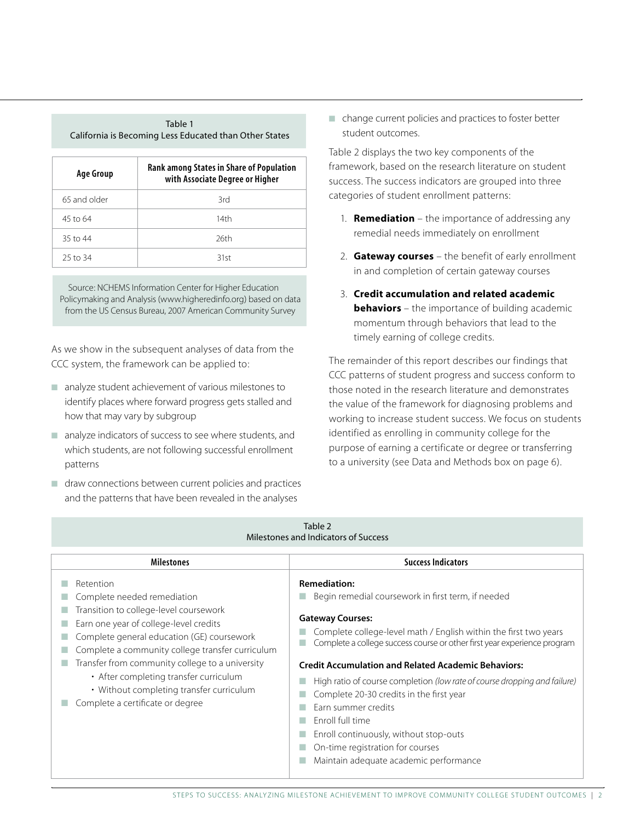| TOUTE T<br>California is Becoming Less Educated than Other States |                                                                             |  |  |  |  |  |  |
|-------------------------------------------------------------------|-----------------------------------------------------------------------------|--|--|--|--|--|--|
| Age Group                                                         | Rank among States in Share of Population<br>with Associate Degree or Higher |  |  |  |  |  |  |
| 65 and older                                                      | 3rd                                                                         |  |  |  |  |  |  |
| 45 to 64                                                          | 14th                                                                        |  |  |  |  |  |  |
| 35 to $44$                                                        | 26th                                                                        |  |  |  |  |  |  |
| 25 to 34                                                          | 31st                                                                        |  |  |  |  |  |  |

Table 1

Source: NCHEMS Information Center for Higher Education Policymaking and Analysis (www.higheredinfo.org) based on data from the US Census Bureau, 2007 American Community Survey

As we show in the subsequent analyses of data from the CCC system, the framework can be applied to:

- $\blacksquare$  analyze student achievement of various milestones to identify places where forward progress gets stalled and how that may vary by subgroup
- $\blacksquare$  analyze indicators of success to see where students, and which students, are not following successful enrollment patterns
- $\blacksquare$  draw connections between current policies and practices and the patterns that have been revealed in the analyses

 $\blacksquare$  change current policies and practices to foster better student outcomes.

Table 2 displays the two key components of the framework, based on the research literature on student success. The success indicators are grouped into three categories of student enrollment patterns:

- 1. **Remediation** the importance of addressing any remedial needs immediately on enrollment
- 2. Gateway courses the benefit of early enrollment in and completion of certain gateway courses
- 3. Credit accumulation and related academic **behaviors** – the importance of building academic momentum through behaviors that lead to the timely earning of college credits.

The remainder of this report describes our findings that CCC patterns of student progress and success conform to those noted in the research literature and demonstrates the value of the framework for diagnosing problems and working to increase student success. We focus on students identified as enrolling in community college for the purpose of earning a certificate or degree or transferring to a university (see Data and Methods box on page 6).

| Table 2<br>Milestones and Indicators of Success                                                                                                                                                                                                                                                                                                                                                             |                                                                                                                                                                                                                                                                                                                                                                                                                                                                                                                                                                                                                |  |  |  |  |  |  |  |
|-------------------------------------------------------------------------------------------------------------------------------------------------------------------------------------------------------------------------------------------------------------------------------------------------------------------------------------------------------------------------------------------------------------|----------------------------------------------------------------------------------------------------------------------------------------------------------------------------------------------------------------------------------------------------------------------------------------------------------------------------------------------------------------------------------------------------------------------------------------------------------------------------------------------------------------------------------------------------------------------------------------------------------------|--|--|--|--|--|--|--|
| <b>Milestones</b>                                                                                                                                                                                                                                                                                                                                                                                           | <b>Success Indicators</b>                                                                                                                                                                                                                                                                                                                                                                                                                                                                                                                                                                                      |  |  |  |  |  |  |  |
| Retention<br>Complete needed remediation<br>Transition to college-level coursework<br>Earn one year of college-level credits<br>Complete general education (GE) coursework<br>Complete a community college transfer curriculum<br>Transfer from community college to a university<br>• After completing transfer curriculum<br>• Without completing transfer curriculum<br>Complete a certificate or degree | <b>Remediation:</b><br>Begin remedial coursework in first term, if needed<br><b>Gateway Courses:</b><br>Complete college-level math / English within the first two years<br>Complete a college success course or other first year experience program<br><b>Credit Accumulation and Related Academic Behaviors:</b><br>High ratio of course completion (low rate of course dropping and failure)<br>Complete 20-30 credits in the first year<br>Farn summer credits<br>Fnroll full time<br>Enroll continuously, without stop-outs<br>On-time registration for courses<br>Maintain adequate academic performance |  |  |  |  |  |  |  |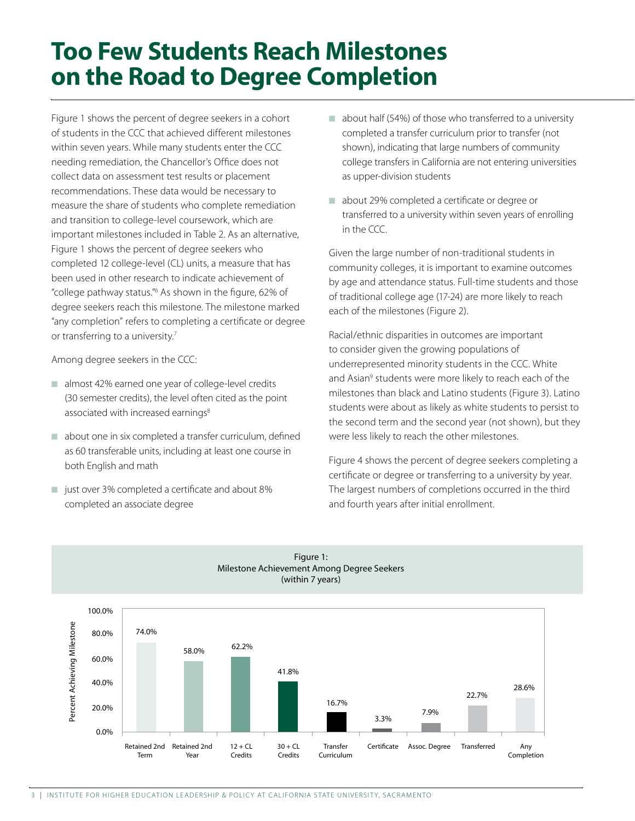### **Too Few Students Reach Milestones on the Road to Degree Completion**

Figure 1 shows the percent of degree seekers in a cohort of students in the CCC that achieved different milestones within seven years. While many students enter the CCC needing remediation, the Chancellor's Office does not collect data on assessment test results or placement recommendations. These data would be necessary to measure the share of students who complete remediation and transition to college-level coursework, which are important milestones included in Table 2. As an alternative, Figure 1 shows the percent of degree seekers who completed 12 college-level (CL) units, a measure that has been used in other research to indicate achievement of "college pathway status."6 As shown in the figure, 62% of degree seekers reach this milestone. The milestone marked "any completion" refers to completing a certificate or degree or transferring to a university.<sup>7</sup>

Among degree seekers in the CCC:

- $\blacksquare$  almost 42% earned one year of college-level credits (30 semester credits), the level often cited as the point associated with increased earnings<sup>8</sup>
- $\Box$  about one in six completed a transfer curriculum, defined as 60 transferable units, including at least one course in both English and math
- $\blacksquare$  just over 3% completed a certificate and about 8% completed an associate degree
- $\Box$  about half (54%) of those who transferred to a university completed a transfer curriculum prior to transfer (not shown), indicating that large numbers of community college transfers in California are not entering universities as upper-division students
- about 29% completed a certificate or degree or transferred to a university within seven years of enrolling in the CCC.

Given the large number of non-traditional students in community colleges, it is important to examine outcomes by age and attendance status. Full-time students and those of traditional college age (17-24) are more likely to reach each of the milestones (Figure 2).

Racial/ethnic disparities in outcomes are important to consider given the growing populations of underrepresented minority students in the CCC. White and Asian<sup>9</sup> students were more likely to reach each of the milestones than black and Latino students (Figure 3). Latino students were about as likely as white students to persist to the second term and the second year (not shown), but they were less likely to reach the other milestones.

Figure 4 shows the percent of degree seekers completing a certificate or degree or transferring to a university by year. The largest numbers of completions occurred in the third and fourth years after initial enrollment.



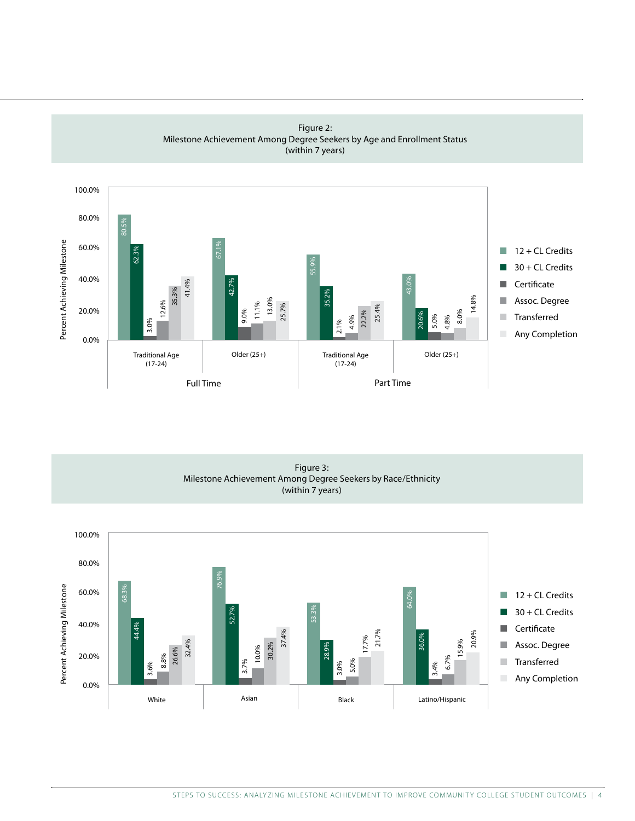

Figure 2: Milestone Achievement Among Degree Seekers by Age and Enrollment Status (within 7 years)

Figure 3: Milestone Achievement Among Degree Seekers by Race/Ethnicity (within 7 years)

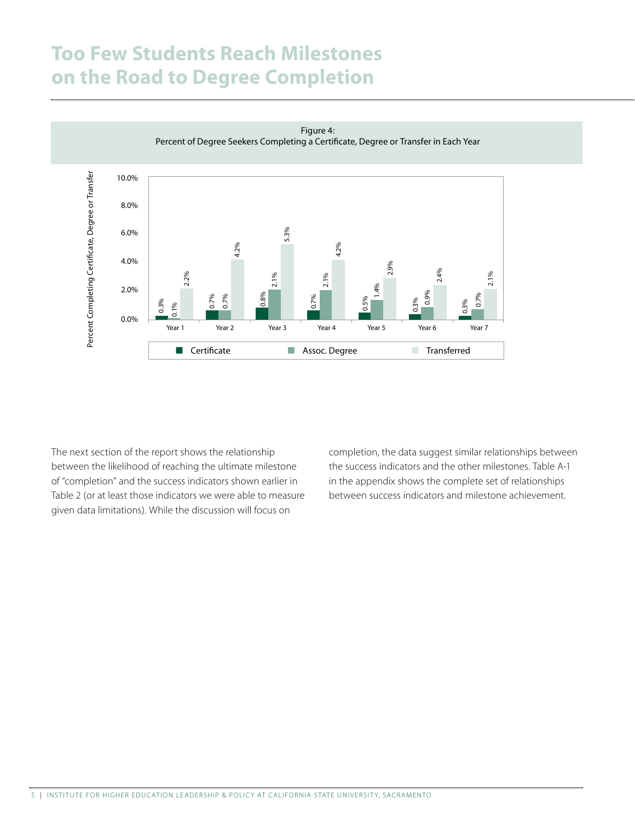### **Too Few Students Reach Milestones on the Road to Degree Completion**



Figure 4:

The next section of the report shows the relationship between the likelihood of reaching the ultimate milestone of "completion" and the success indicators shown earlier in Table 2 (or at least those indicators we were able to measure given data limitations). While the discussion will focus on

completion, the data suggest similar relationships between the success indicators and the other milestones. Table A-1 in the appendix shows the complete set of relationships between success indicators and milestone achievement.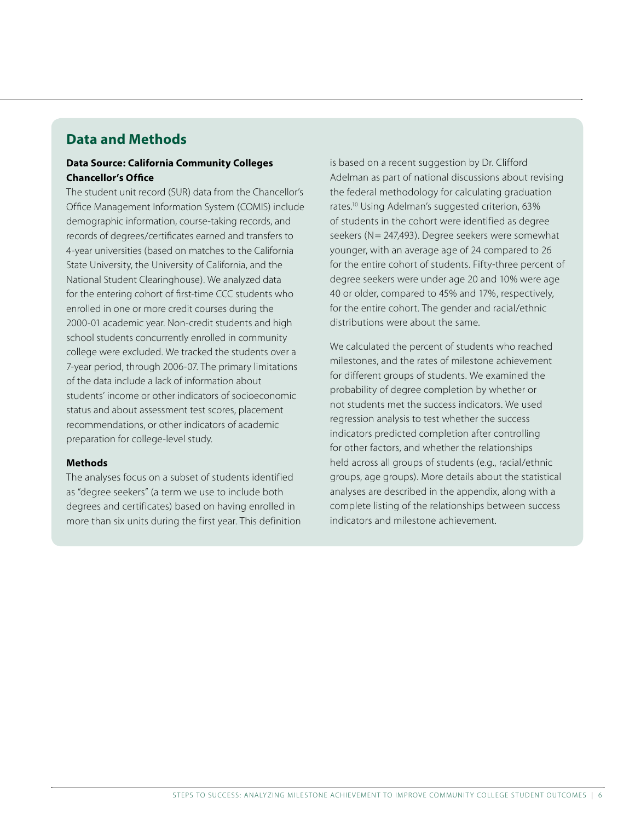#### **Data and Methods**

#### Data Source: California Community Colleges Chancellor's Office

The student unit record (SUR) data from the Chancellor's Office Management Information System (COMIS) include demographic information, course-taking records, and records of degrees/certificates earned and transfers to 4-year universities (based on matches to the California State University, the University of California, and the National Student Clearinghouse). We analyzed data for the entering cohort of first-time CCC students who enrolled in one or more credit courses during the 2000-01 academic year. Non-credit students and high school students concurrently enrolled in community college were excluded. We tracked the students over a 7-year period, through 2006-07. The primary limitations of the data include a lack of information about students' income or other indicators of socioeconomic status and about assessment test scores, placement recommendations, or other indicators of academic preparation for college-level study.

#### **Methods**

The analyses focus on a subset of students identified as "degree seekers" (a term we use to include both degrees and certificates) based on having enrolled in more than six units during the first year. This definition is based on a recent suggestion by Dr. Clifford Adelman as part of national discussions about revising the federal methodology for calculating graduation rates.10 Using Adelman's suggested criterion, 63% of students in the cohort were identified as degree seekers (N= 247,493). Degree seekers were somewhat younger, with an average age of 24 compared to 26 for the entire cohort of students. Fifty-three percent of degree seekers were under age 20 and 10% were age 40 or older, compared to 45% and 17%, respectively, for the entire cohort. The gender and racial/ethnic distributions were about the same.

We calculated the percent of students who reached milestones, and the rates of milestone achievement for different groups of students. We examined the probability of degree completion by whether or not students met the success indicators. We used regression analysis to test whether the success indicators predicted completion after controlling for other factors, and whether the relationships held across all groups of students (e.g., racial/ethnic groups, age groups). More details about the statistical analyses are described in the appendix, along with a complete listing of the relationships between success indicators and milestone achievement.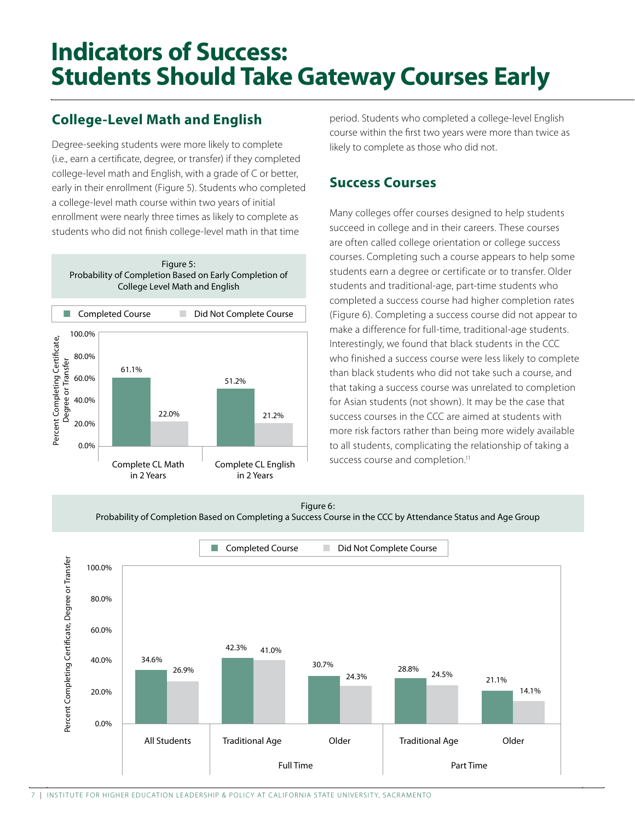### **Indicators of Success: Students Should Take Gateway Courses Early**

### **College-Level Math and English**

Degree-seeking students were more likely to complete (i.e., earn a certificate, degree, or transfer) if they completed college-level math and English, with a grade of C or better, early in their enrollment (Figure 5). Students who completed a college-level math course within two years of initial enrollment were nearly three times as likely to complete as students who did not finish college-level math in that time





period. Students who completed a college-level English course within the first two years were more than twice as likely to complete as those who did not.

#### **Success Courses**

Many colleges offer courses designed to help students succeed in college and in their careers. These courses are often called college orientation or college success courses. Completing such a course appears to help some students earn a degree or certificate or to transfer. Older students and traditional-age, part-time students who completed a success course had higher completion rates (Figure 6). Completing a success course did not appear to make a difference for full-time, traditional-age students. Interestingly, we found that black students in the CCC who finished a success course were less likely to complete than black students who did not take such a course, and that taking a success course was unrelated to completion for Asian students (not shown). It may be the case that success courses in the CCC are aimed at students with more risk factors rather than being more widely available to all students, complicating the relationship of taking a success course and completion.<sup>11</sup>





7 | INSTITUTE FOR HIGHER EDUCATION I FADERSHIP & POLICY AT CALIFORNIA STATE UNIVERSITY, SACRAMENTO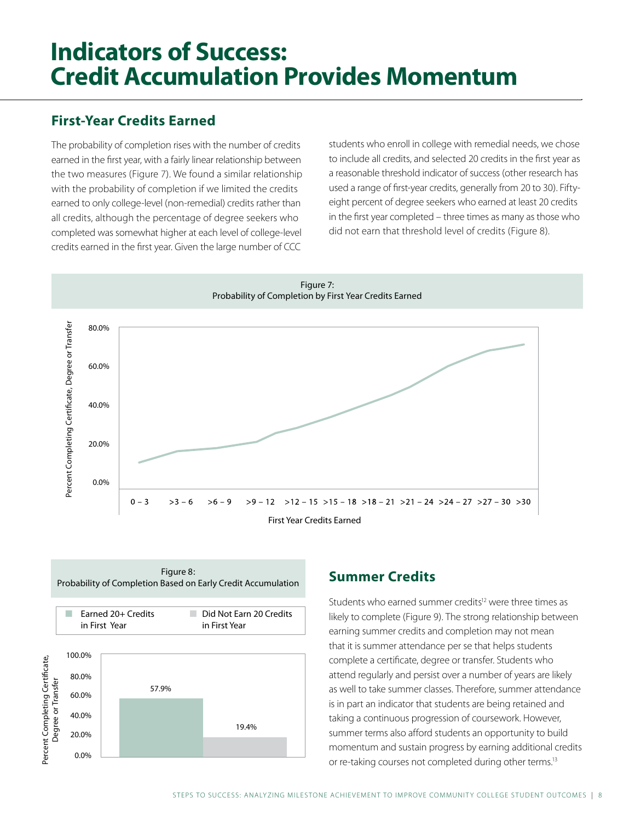### **Indicators of Success: Credit Accumulation Provides Momentum**

### **First-Year Credits Earned**

The probability of completion rises with the number of credits earned in the first year, with a fairly linear relationship between the two measures (Figure 7). We found a similar relationship with the probability of completion if we limited the credits earned to only college-level (non-remedial) credits rather than all credits, although the percentage of degree seekers who completed was somewhat higher at each level of college-level credits earned in the first year. Given the large number of CCC

students who enroll in college with remedial needs, we chose to include all credits, and selected 20 credits in the first year as a reasonable threshold indicator of success (other research has used a range of first-year credits, generally from 20 to 30). Fiftyeight percent of degree seekers who earned at least 20 credits in the first year completed – three times as many as those who did not earn that threshold level of credits (Figure 8).





#### **Summer Credits**

Students who earned summer credits<sup>12</sup> were three times as likely to complete (Figure 9). The strong relationship between earning summer credits and completion may not mean that it is summer attendance per se that helps students complete a certificate, degree or transfer. Students who attend regularly and persist over a number of years are likely as well to take summer classes. Therefore, summer attendance is in part an indicator that students are being retained and taking a continuous progression of coursework. However, summer terms also afford students an opportunity to build momentum and sustain progress by earning additional credits or re-taking courses not completed during other terms.13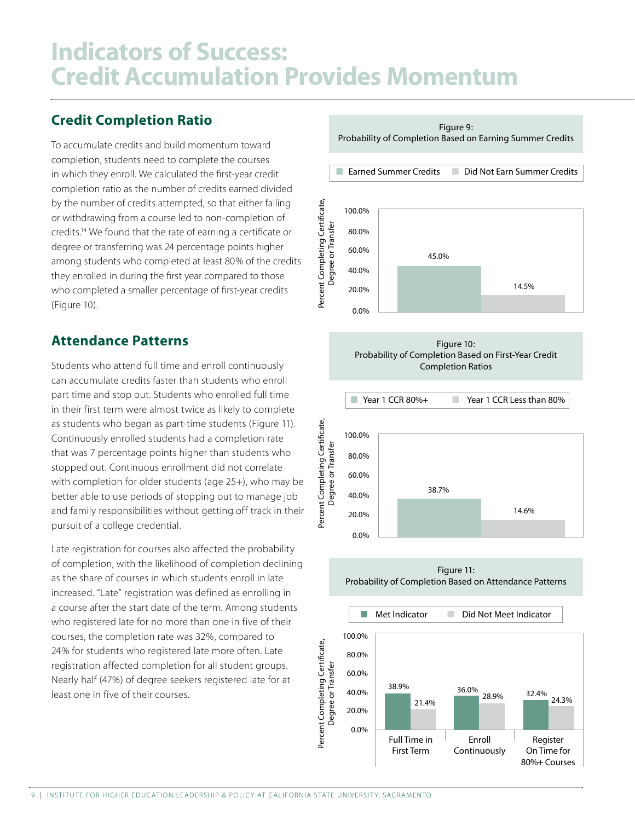### **Indicators of Success: Credit Accumulation Provides Momentum**

#### **Credit Completion Ratio**

To accumulate credits and build momentum toward completion, students need to complete the courses in which they enroll. We calculated the first-year credit completion ratio as the number of credits earned divided by the number of credits attempted, so that either failing or withdrawing from a course led to non-completion of credits.<sup>14</sup> We found that the rate of earning a certificate or degree or transferring was 24 percentage points higher among students who completed at least 80% of the credits they enrolled in during the first year compared to those who completed a smaller percentage of first-year credits (Figure 10).

#### **Attendance Patterns**

Students who attend full time and enroll continuously can accumulate credits faster than students who enroll part time and stop out. Students who enrolled full time in their first term were almost twice as likely to complete as students who began as part-time students (Figure 11). Continuously enrolled students had a completion rate that was 7 percentage points higher than students who stopped out. Continuous enrollment did not correlate with completion for older students (age 25+), who may be better able to use periods of stopping out to manage job and family responsibilities without getting off track in their pursuit of a college credential.

Late registration for courses also affected the probability of completion, with the likelihood of completion declining as the share of courses in which students enroll in late increased. "Late" registration was defined as enrolling in a course after the start date of the term. Among students who registered late for no more than one in five of their courses, the completion rate was 32%, compared to 24% for students who registered late more often. Late registration affected completion for all student groups. Nearly half (47%) of degree seekers registered late for at least one in five of their courses.

Earned Summer Credits Did Not Earn Summer Credits Percent Completing Certificate, 100.0% Degree or Transfer 80.0% 60.0% 45.0% 40.0% 14.5% 20.0%  $0.0%$ Figure 10: Probability of Completion Based on First-Year Credit **Completion Ratios**  $\blacksquare$  Year 1 CCR 80%+ Year 1 CCR Less than 80% Percent Completing Certificate, 100.0% Degree or Transfer 80.0% 60.0% 38.7% 40.0% 14.6% 20.0%  $0.0%$ Figure 11:

Figure 9: Probability of Completion Based on Earning Summer Credits

Probability of Completion Based on Attendance Patterns

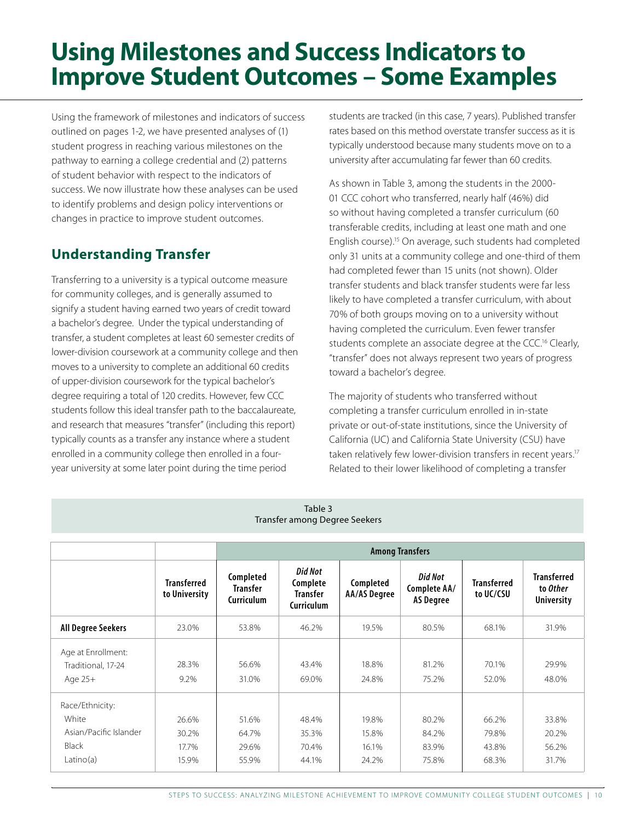### **Using Milestones and Success Indicators to Improve Student Outcomes - Some Examples**

Using the framework of milestones and indicators of success outlined on pages 1-2, we have presented analyses of (1) student progress in reaching various milestones on the pathway to earning a college credential and (2) patterns of student behavior with respect to the indicators of success. We now illustrate how these analyses can be used to identify problems and design policy interventions or changes in practice to improve student outcomes.

### **Understanding Transfer**

Transferring to a university is a typical outcome measure for community colleges, and is generally assumed to signify a student having earned two years of credit toward a bachelor's degree. Under the typical understanding of transfer, a student completes at least 60 semester credits of lower-division coursework at a community college and then moves to a university to complete an additional 60 credits of upper-division coursework for the typical bachelor's degree requiring a total of 120 credits. However, few CCC students follow this ideal transfer path to the baccalaureate, and research that measures "transfer" (including this report) typically counts as a transfer any instance where a student enrolled in a community college then enrolled in a fouryear university at some later point during the time period

students are tracked (in this case, 7 years). Published transfer rates based on this method overstate transfer success as it is typically understood because many students move on to a university after accumulating far fewer than 60 credits.

As shown in Table 3, among the students in the 2000-01 CCC cohort who transferred, nearly half (46%) did so without having completed a transfer curriculum (60 transferable credits, including at least one math and one English course).<sup>15</sup> On average, such students had completed only 31 units at a community college and one-third of them had completed fewer than 15 units (not shown). Older transfer students and black transfer students were far less likely to have completed a transfer curriculum, with about 70% of both groups moving on to a university without having completed the curriculum. Even fewer transfer students complete an associate degree at the CCC.<sup>16</sup> Clearly, "transfer" does not always represent two years of progress toward a bachelor's degree.

The majority of students who transferred without completing a transfer curriculum enrolled in in-state private or out-of-state institutions, since the University of California (UC) and California State University (CSU) have taken relatively few lower-division transfers in recent years.<sup>17</sup> Related to their lower likelihood of completing a transfer

| lable 3<br>Transfer among Degree Seekers                                        |                                     |                                            |                                                             |                                  |                                             |                                  |                                                     |  |  |  |
|---------------------------------------------------------------------------------|-------------------------------------|--------------------------------------------|-------------------------------------------------------------|----------------------------------|---------------------------------------------|----------------------------------|-----------------------------------------------------|--|--|--|
|                                                                                 |                                     | <b>Among Transfers</b>                     |                                                             |                                  |                                             |                                  |                                                     |  |  |  |
|                                                                                 | <b>Transferred</b><br>to University | Completed<br>Transfer<br><b>Curriculum</b> | <b>Did Not</b><br>Complete<br><b>Transfer</b><br>Curriculum | Completed<br><b>AA/AS Degree</b> | Did Not<br>Complete AA/<br><b>AS Degree</b> | <b>Transferred</b><br>to UC/CSU  | <b>Transferred</b><br>to Other<br><b>University</b> |  |  |  |
| <b>All Degree Seekers</b>                                                       | 23.0%                               | 53.8%                                      | 46.2%                                                       | 19.5%                            | 80.5%                                       | 68.1%                            | 31.9%                                               |  |  |  |
| Age at Enrollment:<br>Traditional, 17-24<br>Age $25+$                           | 28.3%<br>9.2%                       | 56.6%<br>31.0%                             | 43.4%<br>69.0%                                              | 18.8%<br>24.8%                   | 81.2%<br>75.2%                              | 70.1%<br>52.0%                   | 29.9%<br>48.0%                                      |  |  |  |
| Race/Ethnicity:<br>White<br>Asian/Pacific Islander<br><b>Black</b><br>Latino(a) | 26.6%<br>30.2%<br>17.7%<br>15.9%    | 51.6%<br>64.7%<br>29.6%<br>55.9%           | 48.4%<br>35.3%<br>70.4%<br>44.1%                            | 19.8%<br>15.8%<br>16.1%<br>24.2% | 80.2%<br>84.2%<br>83.9%<br>75.8%            | 66.2%<br>79.8%<br>43.8%<br>68.3% | 33.8%<br>20.2%<br>56.2%<br>31.7%                    |  |  |  |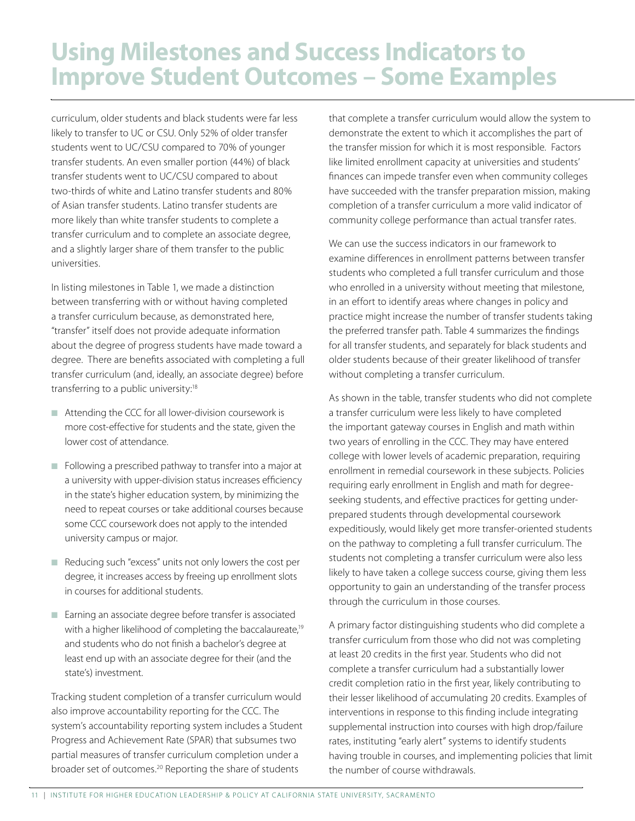### **Using Milestones and Success Indicators to Improve Student Outcomes - Some Examples**

curriculum, older students and black students were far less likely to transfer to UC or CSU. Only 52% of older transfer students went to UC/CSU compared to 70% of younger transfer students. An even smaller portion (44%) of black transfer students went to UC/CSU compared to about two-thirds of white and Latino transfer students and 80% of Asian transfer students. Latino transfer students are more likely than white transfer students to complete a transfer curriculum and to complete an associate degree, and a slightly larger share of them transfer to the public universities.

In listing milestones in Table 1, we made a distinction between transferring with or without having completed a transfer curriculum because, as demonstrated here, "transfer" itself does not provide adequate information about the degree of progress students have made toward a degree. There are benefits associated with completing a full transfer curriculum (and, ideally, an associate degree) before transferring to a public university:<sup>18</sup>

- Attending the CCC for all lower-division coursework is more cost-effective for students and the state, given the lower cost of attendance.
- Following a prescribed pathway to transfer into a major at a university with upper-division status increases efficiency in the state's higher education system, by minimizing the need to repeat courses or take additional courses because some CCC coursework does not apply to the intended university campus or major.
- Reducing such "excess" units not only lowers the cost per degree, it increases access by freeing up enrollment slots in courses for additional students.
- Earning an associate degree before transfer is associated with a higher likelihood of completing the baccalaureate,<sup>19</sup> and students who do not finish a bachelor's degree at least end up with an associate degree for their (and the state's) investment.

Tracking student completion of a transfer curriculum would also improve accountability reporting for the CCC. The system's accountability reporting system includes a Student Progress and Achievement Rate (SPAR) that subsumes two partial measures of transfer curriculum completion under a broader set of outcomes.<sup>20</sup> Reporting the share of students

that complete a transfer curriculum would allow the system to demonstrate the extent to which it accomplishes the part of the transfer mission for which it is most responsible. Factors like limited enrollment capacity at universities and students' finances can impede transfer even when community colleges have succeeded with the transfer preparation mission, making completion of a transfer curriculum a more valid indicator of community college performance than actual transfer rates.

We can use the success indicators in our framework to examine differences in enrollment patterns between transfer students who completed a full transfer curriculum and those who enrolled in a university without meeting that milestone, in an effort to identify areas where changes in policy and practice might increase the number of transfer students taking the preferred transfer path. Table 4 summarizes the findings for all transfer students, and separately for black students and older students because of their greater likelihood of transfer without completing a transfer curriculum.

As shown in the table, transfer students who did not complete a transfer curriculum were less likely to have completed the important gateway courses in English and math within two years of enrolling in the CCC. They may have entered college with lower levels of academic preparation, requiring enrollment in remedial coursework in these subjects. Policies requiring early enrollment in English and math for degreeseeking students, and effective practices for getting underprepared students through developmental coursework expeditiously, would likely get more transfer-oriented students on the pathway to completing a full transfer curriculum. The students not completing a transfer curriculum were also less likely to have taken a college success course, giving them less opportunity to gain an understanding of the transfer process through the curriculum in those courses.

A primary factor distinguishing students who did complete a transfer curriculum from those who did not was completing at least 20 credits in the first year. Students who did not complete a transfer curriculum had a substantially lower credit completion ratio in the first year, likely contributing to their lesser likelihood of accumulating 20 credits. Examples of interventions in response to this finding include integrating supplemental instruction into courses with high drop/failure rates, instituting "early alert" systems to identify students having trouble in courses, and implementing policies that limit the number of course withdrawals.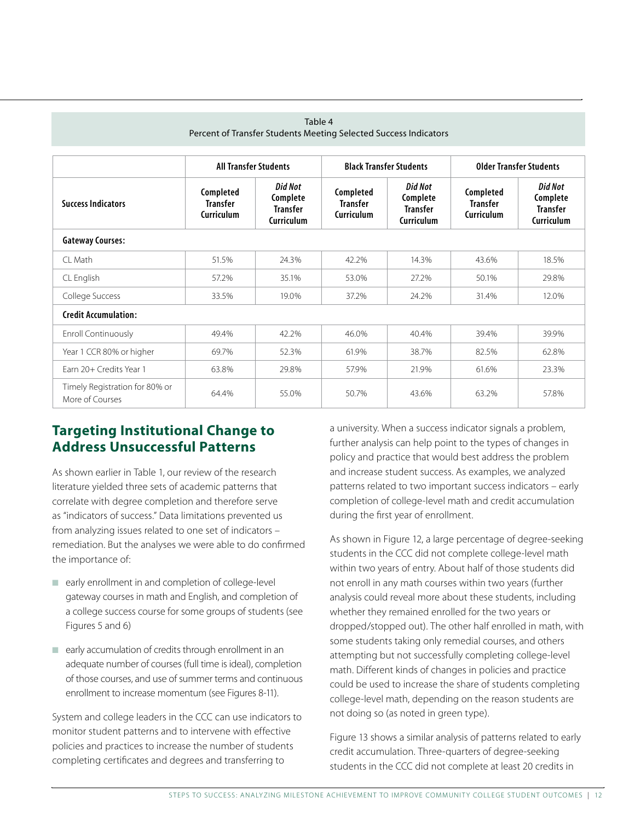| Table 4<br>Percent of Transfer Students Meeting Selected Success Indicators |                                                   |                                                             |                                                   |                                                                    |                                            |                                                             |  |  |  |  |
|-----------------------------------------------------------------------------|---------------------------------------------------|-------------------------------------------------------------|---------------------------------------------------|--------------------------------------------------------------------|--------------------------------------------|-------------------------------------------------------------|--|--|--|--|
|                                                                             | <b>All Transfer Students</b>                      |                                                             |                                                   | <b>Black Transfer Students</b>                                     | <b>Older Transfer Students</b>             |                                                             |  |  |  |  |
| <b>Success Indicators</b>                                                   | Completed<br><b>Transfer</b><br><b>Curriculum</b> | <b>Did Not</b><br>Complete<br>Transfer<br><b>Curriculum</b> | Completed<br><b>Transfer</b><br><b>Curriculum</b> | <b>Did Not</b><br>Complete<br><b>Transfer</b><br><b>Curriculum</b> | Completed<br><b>Transfer</b><br>Curriculum | Did Not<br>Complete<br><b>Transfer</b><br><b>Curriculum</b> |  |  |  |  |
| <b>Gateway Courses:</b>                                                     |                                                   |                                                             |                                                   |                                                                    |                                            |                                                             |  |  |  |  |
| $Cl$ Math                                                                   | 51.5%                                             | 24.3%                                                       | 42.2%                                             | 14.3%                                                              | 43.6%                                      | 18.5%                                                       |  |  |  |  |
| CL English                                                                  | 57.2%                                             | 35.1%                                                       | 53.0%                                             | 27.2%                                                              | 50.1%                                      | 29.8%                                                       |  |  |  |  |
| College Success                                                             | 33.5%                                             | 19.0%                                                       | 37.2%                                             | 24.2%                                                              | 31.4%                                      | 12.0%                                                       |  |  |  |  |
| <b>Credit Accumulation:</b>                                                 |                                                   |                                                             |                                                   |                                                                    |                                            |                                                             |  |  |  |  |
| Enroll Continuously                                                         | 49.4%                                             | 42.2%                                                       | 46.0%                                             | 40.4%                                                              | 39.4%                                      | 39.9%                                                       |  |  |  |  |
| Year 1 CCR 80% or higher                                                    | 69.7%                                             | 52.3%                                                       | 61.9%                                             | 38.7%                                                              | 82.5%                                      | 62.8%                                                       |  |  |  |  |
| Farn 20+ Credits Year 1                                                     | 63.8%                                             | 29.8%                                                       | 57.9%                                             | 21.9%                                                              | 61.6%                                      | 23.3%                                                       |  |  |  |  |
| Timely Registration for 80% or<br>More of Courses                           | 64.4%                                             | 55.0%                                                       | 50.7%                                             | 43.6%                                                              | 63.2%                                      | 57.8%                                                       |  |  |  |  |

#### **Targeting Institutional Change to Address Unsuccessful Patterns**

As shown earlier in Table 1, our review of the research literature yielded three sets of academic patterns that correlate with degree completion and therefore serve as "indicators of success." Data limitations prevented us from analyzing issues related to one set of indicators – remediation. But the analyses we were able to do confirmed the importance of:

- $\blacksquare$  early enrollment in and completion of college-level gateway courses in math and English, and completion of a college success course for some groups of students (see Figures 5 and 6)
- $\blacksquare$  early accumulation of credits through enrollment in an adequate number of courses (full time is ideal), completion of those courses, and use of summer terms and continuous enrollment to increase momentum (see Figures 8-11).

System and college leaders in the CCC can use indicators to monitor student patterns and to intervene with effective policies and practices to increase the number of students completing certificates and degrees and transferring to

a university. When a success indicator signals a problem, further analysis can help point to the types of changes in policy and practice that would best address the problem and increase student success. As examples, we analyzed patterns related to two important success indicators – early completion of college-level math and credit accumulation during the first year of enrollment.

As shown in Figure 12, a large percentage of degree-seeking students in the CCC did not complete college-level math within two years of entry. About half of those students did not enroll in any math courses within two years (further analysis could reveal more about these students, including whether they remained enrolled for the two years or dropped/stopped out). The other half enrolled in math, with some students taking only remedial courses, and others attempting but not successfully completing college-level math. Different kinds of changes in policies and practice could be used to increase the share of students completing college-level math, depending on the reason students are not doing so (as noted in green type).

Figure 13 shows a similar analysis of patterns related to early credit accumulation. Three-quarters of degree-seeking students in the CCC did not complete at least 20 credits in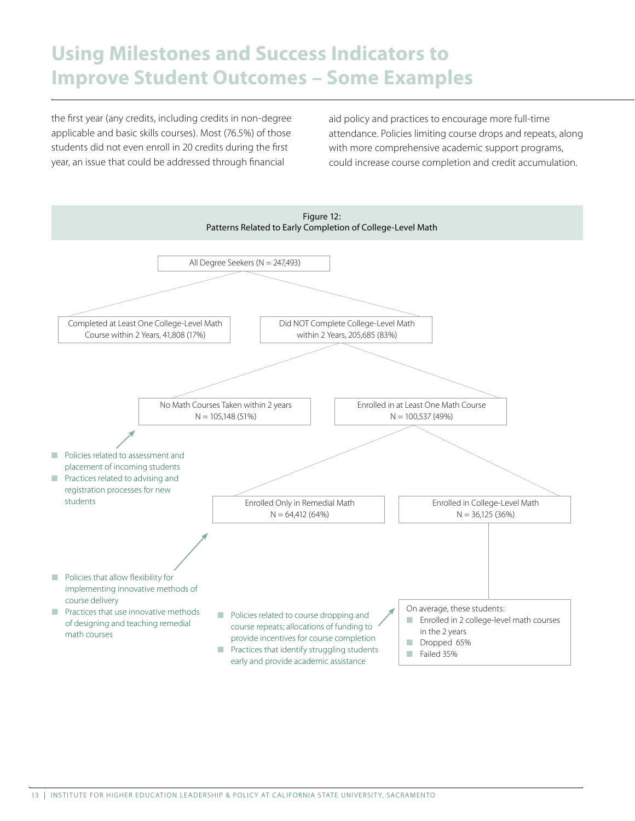### **Using Milestones and Success Indicators to Improve Student Outcomes – Some Examples**

the first year (any credits, including credits in non-degree applicable and basic skills courses). Most (76.5%) of those students did not even enroll in 20 credits during the first year, an issue that could be addressed through financial

aid policy and practices to encourage more full-time attendance. Policies limiting course drops and repeats, along with more comprehensive academic support programs, could increase course completion and credit accumulation.

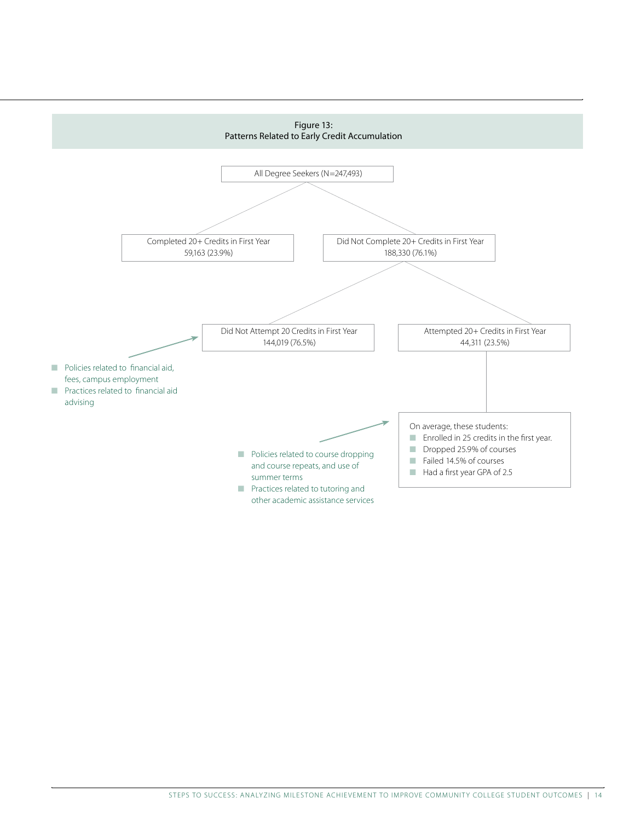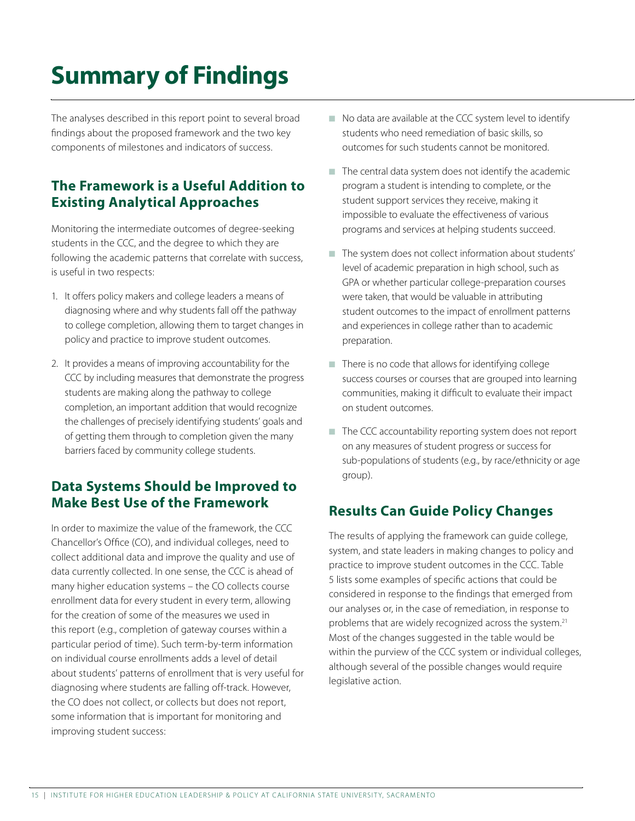# **Summary of Findings**

The analyses described in this report point to several broad findings about the proposed framework and the two key components of milestones and indicators of success.

#### The Framework is a Useful Addition to **Existing Analytical Approaches**

Monitoring the intermediate outcomes of degree-seeking students in the CCC, and the degree to which they are following the academic patterns that correlate with success, is useful in two respects:

- 1. It offers policy makers and college leaders a means of diagnosing where and why students fall off the pathway to college completion, allowing them to target changes in policy and practice to improve student outcomes.
- 2. It provides a means of improving accountability for the CCC by including measures that demonstrate the progress students are making along the pathway to college completion, an important addition that would recognize the challenges of precisely identifying students' goals and of getting them through to completion given the many barriers faced by community college students.

#### Data Systems Should be Improved to **Make Best Use of the Framework**

In order to maximize the value of the framework, the CCC Chancellor's Office (CO), and individual colleges, need to collect additional data and improve the quality and use of data currently collected. In one sense, the CCC is ahead of many higher education systems - the CO collects course enrollment data for every student in every term, allowing for the creation of some of the measures we used in this report (e.g., completion of gateway courses within a particular period of time). Such term-by-term information on individual course enrollments adds a level of detail about students' patterns of enrollment that is very useful for diagnosing where students are falling off-track. However, the CO does not collect, or collects but does not report, some information that is important for monitoring and improving student success:

- No data are available at the CCC system level to identify students who need remediation of basic skills, so outcomes for such students cannot be monitored.
- The central data system does not identify the academic program a student is intending to complete, or the student support services they receive, making it impossible to evaluate the effectiveness of various programs and services at helping students succeed.
- The system does not collect information about students' level of academic preparation in high school, such as GPA or whether particular college-preparation courses were taken, that would be valuable in attributing student outcomes to the impact of enrollment patterns and experiences in college rather than to academic preparation.
- There is no code that allows for identifying college success courses or courses that are grouped into learning communities, making it difficult to evaluate their impact on student outcomes.
- The CCC accountability reporting system does not report on any measures of student progress or success for sub-populations of students (e.g., by race/ethnicity or age group).

#### **Results Can Guide Policy Changes**

The results of applying the framework can guide college, system, and state leaders in making changes to policy and practice to improve student outcomes in the CCC. Table 5 lists some examples of specific actions that could be considered in response to the findings that emerged from our analyses or, in the case of remediation, in response to problems that are widely recognized across the system.<sup>21</sup> Most of the changes suggested in the table would be within the purview of the CCC system or individual colleges, although several of the possible changes would require legislative action.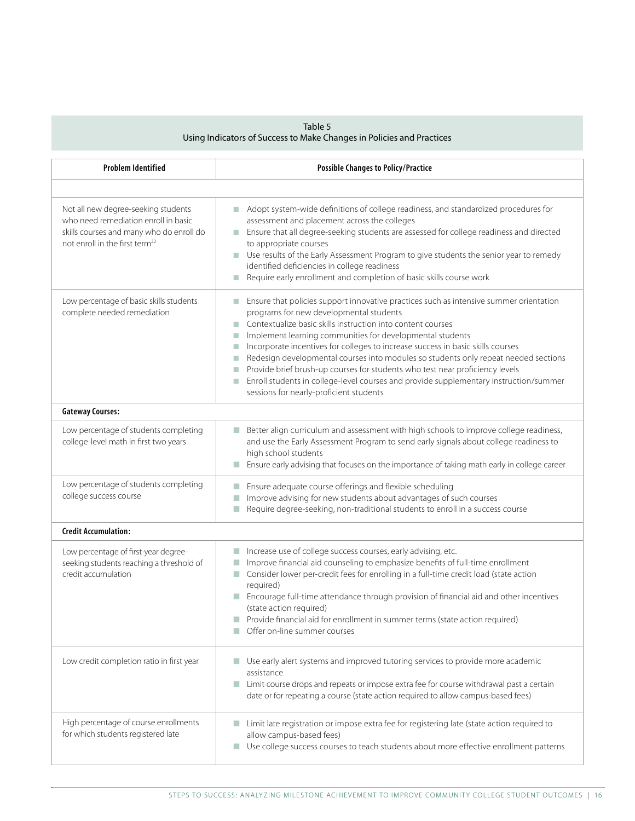### Table 5<br>Using Indicators of Success to Make Changes in Policies and Practices

| <b>Problem Identified</b>                                                                                                                                             | <b>Possible Changes to Policy/Practice</b>                                                                                                                                                                                                                                                                                                                                                                                                                                                                                                                                                                                                                                                 |
|-----------------------------------------------------------------------------------------------------------------------------------------------------------------------|--------------------------------------------------------------------------------------------------------------------------------------------------------------------------------------------------------------------------------------------------------------------------------------------------------------------------------------------------------------------------------------------------------------------------------------------------------------------------------------------------------------------------------------------------------------------------------------------------------------------------------------------------------------------------------------------|
|                                                                                                                                                                       |                                                                                                                                                                                                                                                                                                                                                                                                                                                                                                                                                                                                                                                                                            |
| Not all new degree-seeking students<br>who need remediation enroll in basic<br>skills courses and many who do enroll do<br>not enroll in the first term <sup>22</sup> | Adopt system-wide definitions of college readiness, and standardized procedures for<br>n.<br>assessment and placement across the colleges<br>Ensure that all degree-seeking students are assessed for college readiness and directed<br>n.<br>to appropriate courses<br>Use results of the Early Assessment Program to give students the senior year to remedy<br>$\mathcal{L}_{\mathcal{A}}$<br>identified deficiencies in college readiness<br>Require early enrollment and completion of basic skills course work                                                                                                                                                                       |
| Low percentage of basic skills students<br>complete needed remediation                                                                                                | Ensure that policies support innovative practices such as intensive summer orientation<br>T.<br>programs for new developmental students<br>Contextualize basic skills instruction into content courses<br>п<br>Implement learning communities for developmental students<br>П<br>Incorporate incentives for colleges to increase success in basic skills courses<br>п<br>Redesign developmental courses into modules so students only repeat needed sections<br>П<br>Provide brief brush-up courses for students who test near proficiency levels<br>Enroll students in college-level courses and provide supplementary instruction/summer<br>П<br>sessions for nearly-proficient students |
| <b>Gateway Courses:</b>                                                                                                                                               |                                                                                                                                                                                                                                                                                                                                                                                                                                                                                                                                                                                                                                                                                            |
| Low percentage of students completing<br>college-level math in first two years                                                                                        | Better align curriculum and assessment with high schools to improve college readiness,<br>and use the Early Assessment Program to send early signals about college readiness to<br>high school students<br>Ensure early advising that focuses on the importance of taking math early in college career                                                                                                                                                                                                                                                                                                                                                                                     |
| Low percentage of students completing<br>college success course                                                                                                       | Ensure adequate course offerings and flexible scheduling<br>Improve advising for new students about advantages of such courses<br>П<br>Require degree-seeking, non-traditional students to enroll in a success course                                                                                                                                                                                                                                                                                                                                                                                                                                                                      |
| <b>Credit Accumulation:</b>                                                                                                                                           |                                                                                                                                                                                                                                                                                                                                                                                                                                                                                                                                                                                                                                                                                            |
| Low percentage of first-year degree-<br>seeking students reaching a threshold of<br>credit accumulation                                                               | Increase use of college success courses, early advising, etc.<br>п<br>Improve financial aid counseling to emphasize benefits of full-time enrollment<br>Consider lower per-credit fees for enrolling in a full-time credit load (state action<br>П<br>required)<br>Encourage full-time attendance through provision of financial aid and other incentives<br>m.<br>(state action required)<br>Provide financial aid for enrollment in summer terms (state action required)<br>Offer on-line summer courses                                                                                                                                                                                 |
| Low credit completion ratio in first year                                                                                                                             | Use early alert systems and improved tutoring services to provide more academic<br>assistance<br>Limit course drops and repeats or impose extra fee for course withdrawal past a certain<br>п<br>date or for repeating a course (state action required to allow campus-based fees)                                                                                                                                                                                                                                                                                                                                                                                                         |
| High percentage of course enrollments<br>for which students registered late                                                                                           | Limit late registration or impose extra fee for registering late (state action required to<br>allow campus-based fees)<br>Use college success courses to teach students about more effective enrollment patterns<br>a.                                                                                                                                                                                                                                                                                                                                                                                                                                                                     |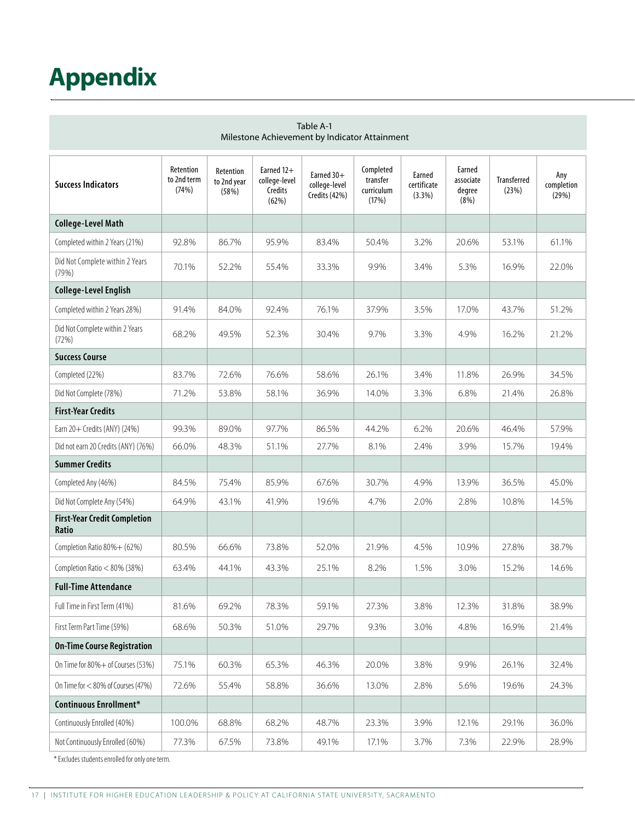# **Appendix**

| Table A-1<br>Milestone Achievement by Indicator Attainment |                                   |                                   |                                                 |                                                |                                              |                                 |                                        |                             |                            |
|------------------------------------------------------------|-----------------------------------|-----------------------------------|-------------------------------------------------|------------------------------------------------|----------------------------------------------|---------------------------------|----------------------------------------|-----------------------------|----------------------------|
| <b>Success Indicators</b>                                  | Retention<br>to 2nd term<br>(74%) | Retention<br>to 2nd year<br>(58%) | Earned 12+<br>college-level<br>Credits<br>(62%) | Earned $30+$<br>college-level<br>Credits (42%) | Completed<br>transfer<br>curriculum<br>(17%) | Earned<br>certificate<br>(3.3%) | Earned<br>associate<br>degree<br>(8% ) | <b>Transferred</b><br>(23%) | Any<br>completion<br>(29%) |
| <b>College-Level Math</b>                                  |                                   |                                   |                                                 |                                                |                                              |                                 |                                        |                             |                            |
| Completed within 2 Years (21%)                             | 92.8%                             | 86.7%                             | 95.9%                                           | 83.4%                                          | 50.4%                                        | 3.2%                            | 20.6%                                  | 53.1%                       | 61.1%                      |
| Did Not Complete within 2 Years<br>(79%)                   | 70.1%                             | 52.2%                             | 55.4%                                           | 33.3%                                          | 9.9%                                         | 3.4%                            | 5.3%                                   | 16.9%                       | 22.0%                      |
| <b>College-Level English</b>                               |                                   |                                   |                                                 |                                                |                                              |                                 |                                        |                             |                            |
| Completed within 2 Years 28%)                              | 91.4%                             | 84.0%                             | 92.4%                                           | 76.1%                                          | 37.9%                                        | 3.5%                            | 17.0%                                  | 43.7%                       | 51.2%                      |
| Did Not Complete within 2 Years<br>(72%)                   | 68.2%                             | 49.5%                             | 52.3%                                           | 30.4%                                          | 9.7%                                         | 3.3%                            | 4.9%                                   | 16.2%                       | 21.2%                      |
| <b>Success Course</b>                                      |                                   |                                   |                                                 |                                                |                                              |                                 |                                        |                             |                            |
| Completed (22%)                                            | 83.7%                             | 72.6%                             | 76.6%                                           | 58.6%                                          | 26.1%                                        | 3.4%                            | 11.8%                                  | 26.9%                       | 34.5%                      |
| Did Not Complete (78%)                                     | 71.2%                             | 53.8%                             | 58.1%                                           | 36.9%                                          | 14.0%                                        | 3.3%                            | 6.8%                                   | 21.4%                       | 26.8%                      |
| <b>First-Year Credits</b>                                  |                                   |                                   |                                                 |                                                |                                              |                                 |                                        |                             |                            |
| Earn 20+ Credits (ANY) (24%)                               | 99.3%                             | 89.0%                             | 97.7%                                           | 86.5%                                          | 44.2%                                        | 6.2%                            | 20.6%                                  | 46.4%                       | 57.9%                      |
| Did not earn 20 Credits (ANY) (76%)                        | 66.0%                             | 48.3%                             | 51.1%                                           | 27.7%                                          | 8.1%                                         | 2.4%                            | 3.9%                                   | 15.7%                       | 19.4%                      |
| <b>Summer Credits</b>                                      |                                   |                                   |                                                 |                                                |                                              |                                 |                                        |                             |                            |
| Completed Any (46%)                                        | 84.5%                             | 75.4%                             | 85.9%                                           | 67.6%                                          | 30.7%                                        | 4.9%                            | 13.9%                                  | 36.5%                       | 45.0%                      |
| Did Not Complete Any (54%)                                 | 64.9%                             | 43.1%                             | 41.9%                                           | 19.6%                                          | 4.7%                                         | 2.0%                            | 2.8%                                   | 10.8%                       | 14.5%                      |
| <b>First-Year Credit Completion</b><br>Ratio               |                                   |                                   |                                                 |                                                |                                              |                                 |                                        |                             |                            |
| Completion Ratio 80%+ (62%)                                | 80.5%                             | 66.6%                             | 73.8%                                           | 52.0%                                          | 21.9%                                        | 4.5%                            | 10.9%                                  | 27.8%                       | 38.7%                      |
| Completion Ratio < 80% (38%)                               | 63.4%                             | 44.1%                             | 43.3%                                           | 25.1%                                          | 8.2%                                         | 1.5%                            | 3.0%                                   | 15.2%                       | 14.6%                      |
| <b>Full-Time Attendance</b>                                |                                   |                                   |                                                 |                                                |                                              |                                 |                                        |                             |                            |
| Full Time in First Term (41%)                              | 81.6%                             | 69.2%                             | 78.3%                                           | 59.1%                                          | 27.3%                                        | 3.8%                            | 12.3%                                  | 31.8%                       | 38.9%                      |
| First Term Part Time (59%)                                 | 68.6%                             | 50.3%                             | 51.0%                                           | 29.7%                                          | 9.3%                                         | 3.0%                            | 4.8%                                   | 16.9%                       | 21.4%                      |
| <b>On-Time Course Registration</b>                         |                                   |                                   |                                                 |                                                |                                              |                                 |                                        |                             |                            |
| On Time for 80% + of Courses (53%)                         | 75.1%                             | 60.3%                             | 65.3%                                           | 46.3%                                          | 20.0%                                        | 3.8%                            | 9.9%                                   | 26.1%                       | 32.4%                      |
| On Time for $<$ 80% of Courses (47%)                       | 72.6%                             | 55.4%                             | 58.8%                                           | 36.6%                                          | 13.0%                                        | 2.8%                            | 5.6%                                   | 19.6%                       | 24.3%                      |
| Continuous Enrollment*                                     |                                   |                                   |                                                 |                                                |                                              |                                 |                                        |                             |                            |
| Continuously Enrolled (40%)                                | 100.0%                            | 68.8%                             | 68.2%                                           | 48.7%                                          | 23.3%                                        | 3.9%                            | 12.1%                                  | 29.1%                       | 36.0%                      |
| Not Continuously Enrolled (60%)                            | 77.3%                             | 67.5%                             | 73.8%                                           | 49.1%                                          | 17.1%                                        | 3.7%                            | 7.3%                                   | 22.9%                       | 28.9%                      |

\* Excludes students enrolled for only one term.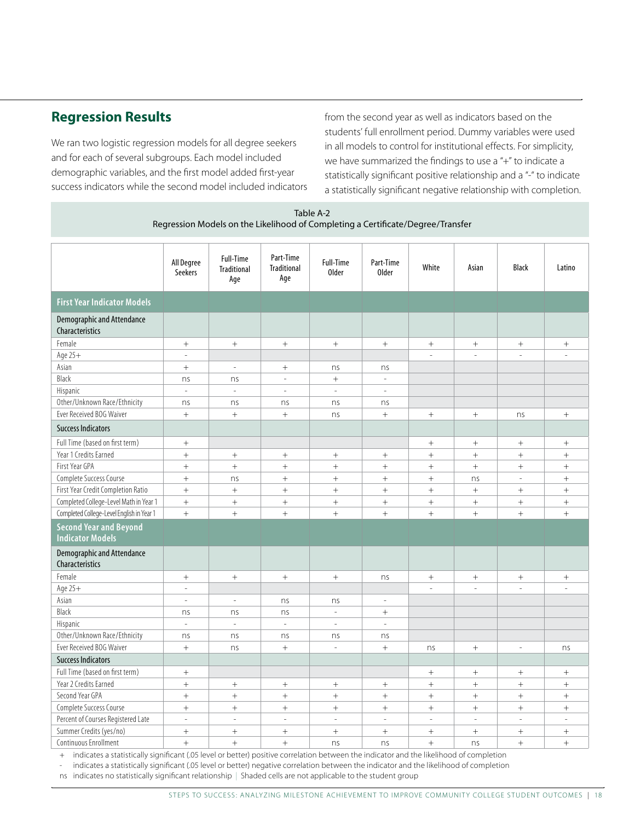#### **Regression Results**

We ran two logistic regression models for all degree seekers and for each of several subgroups. Each model included demographic variables, and the first model added first-year success indicators while the second model included indicators from the second year as well as indicators based on the students' full enrollment period. Dummy variables were used in all models to control for institutional effects. For simplicity, we have summarized the findings to use a "+" to indicate a statistically significant positive relationship and a "-" to indicate a statistically significant negative relationship with completion.

| Table A-2<br>Regression Models on the Likelihood of Completing a Certificate/Degree/Transfer |                          |                                               |                                        |                                  |                           |                   |                                  |                  |                 |
|----------------------------------------------------------------------------------------------|--------------------------|-----------------------------------------------|----------------------------------------|----------------------------------|---------------------------|-------------------|----------------------------------|------------------|-----------------|
|                                                                                              | All Degree<br>Seekers    | <b>Full-Time</b><br><b>Traditional</b><br>Age | Part-Time<br><b>Traditional</b><br>Age | <b>Full-Time</b><br><b>Older</b> | Part-Time<br><b>Older</b> | White             | Asian                            | <b>Black</b>     | Latino          |
| <b>First Year Indicator Models</b>                                                           |                          |                                               |                                        |                                  |                           |                   |                                  |                  |                 |
| <b>Demographic and Attendance</b><br>Characteristics                                         |                          |                                               |                                        |                                  |                           |                   |                                  |                  |                 |
| Female                                                                                       |                          | $^{+}$                                        | $^{+}$                                 | $\boldsymbol{+}$                 | $\! + \!\!\!\!$           | $\! + \!\!\!\!$   | $\! + \!\!\!\!$                  | $^+$             |                 |
| Age 25+                                                                                      | $\sim$                   |                                               |                                        |                                  |                           | $\mathbf{r}$      | $\overline{a}$                   | ÷,               |                 |
| Asian                                                                                        | $^{+}$                   | $\overline{\phantom{a}}$                      | $\boldsymbol{+}$                       | ns                               | ns                        |                   |                                  |                  |                 |
| Black                                                                                        | ns                       | ns                                            | $\sim$                                 | $\qquad \qquad +$                | $\sim$                    |                   |                                  |                  |                 |
| Hispanic                                                                                     | $\bar{z}$                | $\overline{\phantom{a}}$                      | $\omega$                               | $\overline{\phantom{a}}$         | $\omega$                  |                   |                                  |                  |                 |
| Other/Unknown Race/Ethnicity                                                                 | ns                       | ns                                            | ns                                     | ns                               | ns                        |                   |                                  |                  |                 |
| Ever Received BOG Waiver                                                                     | $^{+}$                   | $\ddot{}$                                     | $\ddot{}$                              | ns                               | $\ddot{}$                 | $\! + \!\!\!\!$   |                                  | ns               | $\! +$          |
| <b>Success Indicators</b>                                                                    |                          |                                               |                                        |                                  |                           |                   |                                  |                  |                 |
| Full Time (based on first term)                                                              |                          |                                               |                                        |                                  |                           | $\boldsymbol{+}$  | $\! + \!\!\!\!$                  | $\boldsymbol{+}$ |                 |
| Year 1 Credits Earned                                                                        | $^{+}$                   |                                               | $\! + \!\!\!\!$                        | $\qquad \qquad +$                | $^{+}$                    | $\! +$            | $\! + \!\!\!\!$                  | $+$              | $\! +$          |
| First Year GPA                                                                               | $^{+}$                   | $\qquad \qquad +$                             | $^{+}$                                 | $^{+}$                           | $^{+}$                    | $\! +$            | $^{+}$                           | $+$              | $\! +$          |
| Complete Success Course                                                                      | $^{+}$                   | ns                                            | $+$                                    | $+$                              | $^{+}$                    | $+$               | ns                               | $\equiv$         | $+$             |
| First Year Credit Completion Ratio                                                           | $^{+}$                   | $\ddot{}$                                     | $^{+}$                                 |                                  | $\! + \!\!\!\!$           | $\qquad \qquad +$ |                                  |                  | $^{+}$          |
| Completed College-Level Math in Year 1                                                       |                          | $+$                                           | $+$                                    | $\qquad \qquad +$                | $\! + \!\!\!\!$           | $\! + \!\!\!\!$   | $\boldsymbol{+}$                 | $\boldsymbol{+}$ | $^{+}$          |
| Completed College-Level English in Year 1                                                    | $^{+}$                   | $\ddot{}$                                     | $^{+}$                                 | $+$                              | $\! + \!\!\!\!$           | $\qquad \qquad +$ |                                  | $\ddot{}$        | $^{+}$          |
| <b>Second Year and Beyond</b><br><b>Indicator Models</b>                                     |                          |                                               |                                        |                                  |                           |                   |                                  |                  |                 |
| <b>Demographic and Attendance</b><br><b>Characteristics</b>                                  |                          |                                               |                                        |                                  |                           |                   |                                  |                  |                 |
| Female                                                                                       |                          | $\qquad \qquad +$                             | $^{+}$                                 | $\qquad \qquad +$                | ns                        |                   |                                  | $^+$             |                 |
| Age 25+                                                                                      | $\overline{a}$           |                                               |                                        |                                  |                           |                   |                                  |                  |                 |
| Asian                                                                                        | $\omega$                 | $\omega$                                      | ns                                     | ns                               | $\sim$                    |                   |                                  |                  |                 |
| Black                                                                                        | ns                       | ns                                            | ns                                     | $\bar{a}$                        | $\! + \!\!\!\!$           |                   |                                  |                  |                 |
| Hispanic                                                                                     | $\bar{\phantom{a}}$      | $\equiv$                                      | $\bar{\phantom{a}}$                    | $\overline{\phantom{a}}$         | $\omega$                  |                   |                                  |                  |                 |
| Other/Unknown Race/Ethnicity                                                                 | ns                       | ns                                            | ns                                     | ns                               | ns                        |                   |                                  |                  |                 |
| Ever Received BOG Waiver                                                                     | $^{+}$                   | ns                                            | $^{+}$                                 | $\overline{a}$                   | $\boldsymbol{+}$          | ns                | $\boldsymbol{+}$                 | $\overline{a}$   | ns              |
| <b>Success Indicators</b>                                                                    |                          |                                               |                                        |                                  |                           |                   |                                  |                  |                 |
| Full Time (based on first term)                                                              | $^{+}$                   |                                               |                                        |                                  |                           | $\! + \!\!\!\!$   | $\begin{array}{c} + \end{array}$ | $^+$             | $\! + \!\!\!\!$ |
| Year 2 Credits Earned                                                                        | $^{+}$                   | $\! +$                                        | $^{+}$                                 | $\qquad \qquad +$                | $\! + \!\!\!\!$           | $\! +$            | $\qquad \qquad +$                | $\boldsymbol{+}$ |                 |
| Second Year GPA                                                                              | $^{+}$                   | $+$                                           | $^{+}$                                 | $^{+}$                           | $^{+}$                    | $\! +$            | $\! +$                           | $+$              | $\! + \!\!\!\!$ |
| Complete Success Course                                                                      | $^{+}$                   | $\qquad \qquad +$                             | $\! + \!\!\!\!$                        | $^{+}$                           | $^{+}$                    | $\qquad \qquad +$ | $^{+}$                           |                  | $^{+}$          |
| Percent of Courses Registered Late                                                           | $\overline{\phantom{a}}$ | $\Box$                                        | $\overline{a}$                         | $\overline{\phantom{a}}$         | $\mathbb{L}$              | $\Box$            | $\Box$                           | $\equiv$         | $\overline{a}$  |
| Summer Credits (yes/no)                                                                      | $^{+}$                   | $+$                                           | $^{+}$                                 | $\! + \!\!\!\!$                  | $^{+}$                    | $^{+}$            |                                  |                  | $^{+}$          |
| Continuous Enrollment                                                                        | $^{+}$                   | $+$                                           | $+$                                    | ns                               | ns                        | $+$               | ns                               | $^{+}$           | $+$             |

indicates a statistically significant (.05 level or better) positive correlation between the indicator and the likelihood of completion  $+$ 

indicates a statistically significant (.05 level or better) negative correlation between the indicator and the likelihood of completion

ns indicates no statistically significant relationship | Shaded cells are not applicable to the student group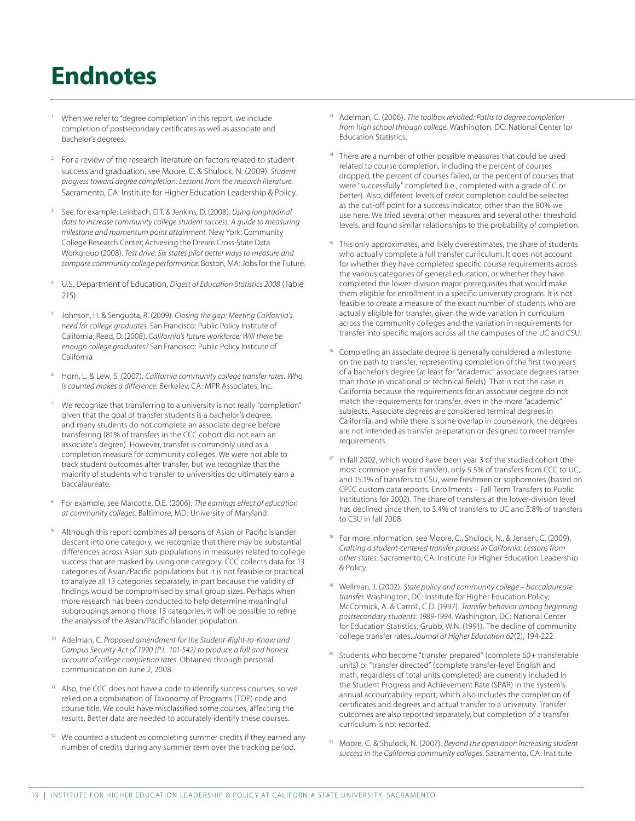### **Endnotes**

- When we refer to "degree completion" in this report, we include completion of postsecondary certificates as well as associate and bachelor's degrees.
- <sup>2</sup> For a review of the research literature on factors related to student success and graduation, see Moore, C. & Shulock, N. (2009). Student progress toward degree completion: Lessons from the research literature. Sacramento, CA: Institute for Higher Education Leadership & Policy.
- See, for example: Leinbach, D.T. & Jenkins, D. (2008). Using longitudinal data to increase community college student success: A quide to measuring milestone and momentum point attainment. New York: Community College Research Center; Achieving the Dream Cross-State Data Workgroup (2008). Test drive: Six states pilot better ways to measure and compare community college performance. Boston, MA: Jobs for the Future.
- U.S. Department of Education, Digest of Education Statistics 2008 (Table  $215$ ).
- Johnson, H. & Sengupta, R. (2009). Closing the gap: Meeting California's need for college graduates. San Francisco: Public Policy Institute of California; Reed, D. (2008). California's future workforce: Will there be enough college graduates? San Francisco: Public Policy Institute of California
- Horn, L. & Lew, S. (2007). California community college transfer rates: Who is counted makes a difference. Berkeley, CA: MPR Associates, Inc.
- We recognize that transferring to a university is not really "completion" given that the goal of transfer students is a bachelor's degree, and many students do not complete an associate degree before transferring (81% of transfers in the CCC cohort did not earn an associate's degree). However, transfer is commonly used as a completion measure for community colleges. We were not able to track student outcomes after transfer, but we recognize that the majority of students who transfer to universities do ultimately earn a **baccalaureate**
- For example, see Marcotte, D.E. (2006). The earnings effect of education at community colleges. Baltimore, MD: University of Maryland.
- Although this report combines all persons of Asian or Pacific Islander descent into one category, we recognize that there may be substantial differences across Asian sub-populations in measures related to college success that are masked by using one category. CCC collects data for 13 categories of Asian/Pacific populations but it is not feasible or practical to analyze all 13 categories separately, in part because the validity of findings would be compromised by small group sizes. Perhaps when more research has been conducted to help determine meaningful subgroupings among those 13 categories, it will be possible to refine the analysis of the Asian/Pacific Islander population.
- <sup>10</sup> Adelman, C. Proposed amendment for the Student-Right-to-Know and Campus Security Act of 1990 (P.L. 101-542) to produce a full and honest account of college completion rates. Obtained through personal communication on June 2, 2008.
- <sup>11</sup> Also, the CCC does not have a code to identify success courses, so we relied on a combination of Taxonomy of Programs (TOP) code and course title. We could have misclassified some courses, affecting the results. Better data are needed to accurately identify these courses.
- <sup>12</sup> We counted a student as completing summer credits if they earned any number of credits during any summer term over the tracking period.
- <sup>13</sup> Adelman, C. (2006). The toolbox revisited: Paths to degree completion from high school through college. Washington, DC: National Center for Education Statistics.
- <sup>14</sup> There are a number of other possible measures that could be used related to course completion, including the percent of courses dropped, the percent of courses failed, or the percent of courses that were "successfully" completed (i.e., completed with a grade of C or better). Also, different levels of credit completion could be selected as the cut-off point for a success indicator, other than the 80% we use here. We tried several other measures and several other threshold levels, and found similar relationships to the probability of completion.
- <sup>15</sup> This only approximates, and likely overestimates, the share of students who actually complete a full transfer curriculum. It does not account for whether they have completed specific course requirements across the various categories of general education, or whether they have completed the lower-division major prerequisites that would make them eligible for enrollment in a specific university program. It is not feasible to create a measure of the exact number of students who are actually eligible for transfer, given the wide variation in curriculum across the community colleges and the variation in requirements for transfer into specific majors across all the campuses of the UC and CSU.
- Completing an associate degree is generally considered a milestone on the path to transfer, representing completion of the first two years of a bachelor's degree (at least for "academic" associate degrees rather than those in vocational or technical fields). That is not the case in California because the requirements for an associate degree do not match the requirements for transfer, even in the more "academic" subjects. Associate degrees are considered terminal degrees in California, and while there is some overlap in coursework, the degrees are not intended as transfer preparation or designed to meet transfer requirements.
- <sup>17</sup> In fall 2002, which would have been year 3 of the studied cohort (the most common year for transfer), only 5.5% of transfers from CCC to UC, and 15.1% of transfers to CSU, were freshmen or sophomores (based on CPEC custom data reports, Enrollments - Fall Term Transfers to Public Institutions for 2002). The share of transfers at the lower-division level has declined since then, to 3.4% of transfers to UC and 5.8% of transfers to CSU in fall 2008.
- For more information, see Moore, C., Shulock, N., & Jensen, C. (2009). Crafting a student-centered transfer process in California: Lessons from other states. Sacramento, CA: Institute for Higher Education Leadership & Policy.
- <sup>19</sup> Wellman, J. (2002). State policy and community college baccalaureate transfer. Washington, DC: Institute for Higher Education Policy; McCormick, A. & Carroll, C.D. (1997). Transfer behavior among beginning postsecondary students: 1989-1994. Washington, DC: National Center .<br>for Education Statistics; Grubb, W.N. (1991). The decline of community college transfer rates. Journal of Higher Education 62(2), 194-222.
- Students who become "transfer prepared" (complete 60+ transferable units) or "transfer directed" (complete transfer-level English and math, regardless of total units completed) are currently included in the Student Progress and Achievement Rate (SPAR) in the system's annual accountability report, which also includes the completion of certificates and degrees and actual transfer to a university. Transfer outcomes are also reported separately, but completion of a transfer curriculum is not reported.
- Moore, C. & Shulock, N. (2007). Beyond the open door: Increasing student success in the California community colleges. Sacramento, CA: Institute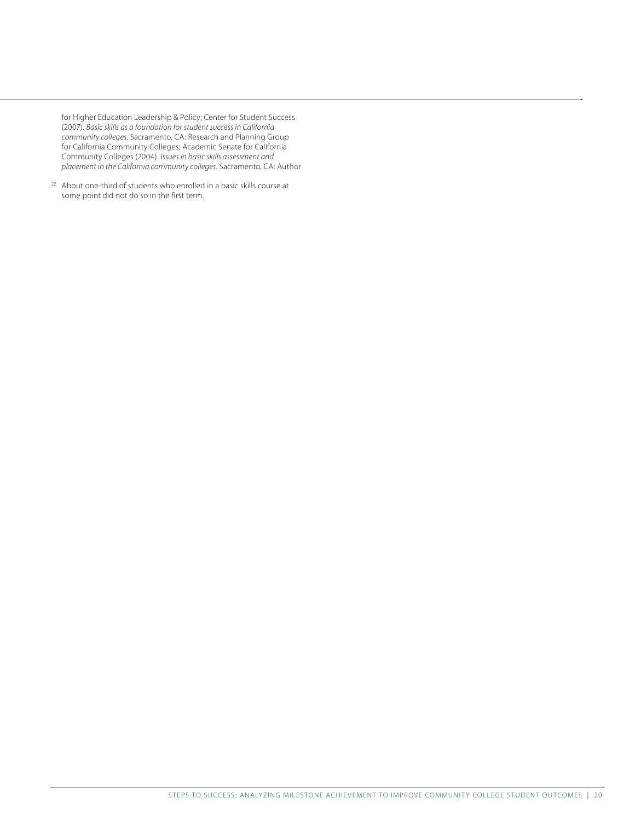for Higher Education Leadership & Policy; Center for Student Success (2007). *Basic skills as a foundation for student success in California community colleges*. Sacramento, CA: Research and Planning Group for California Community Colleges; Academic Senate for California Community Colleges (2004). *Issues in basic skills assessment and placement in the California community colleges*. Sacramento, CA: Author

<sup>22</sup> About one-third of students who enrolled in a basic skills course at some point did not do so in the first term.